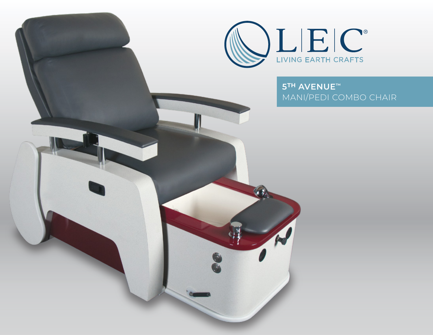5TH AVENUE™ MANI/PEDI COMBO CHAIR